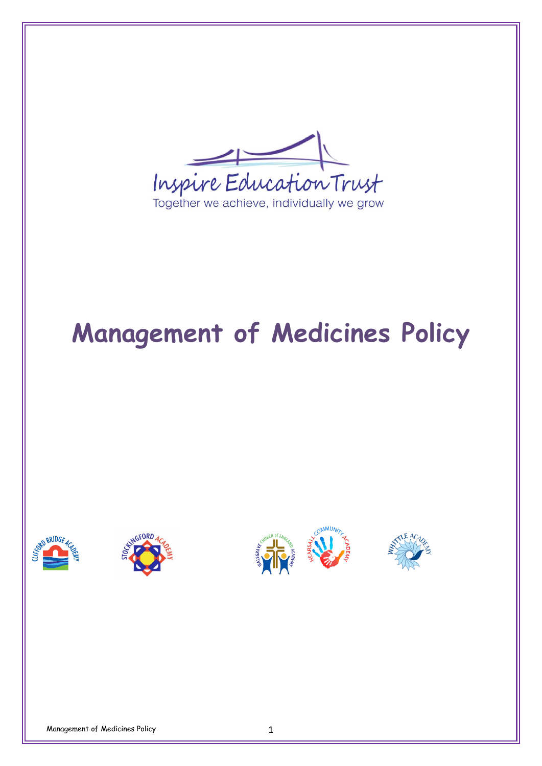

# **Management of Medicines Policy**







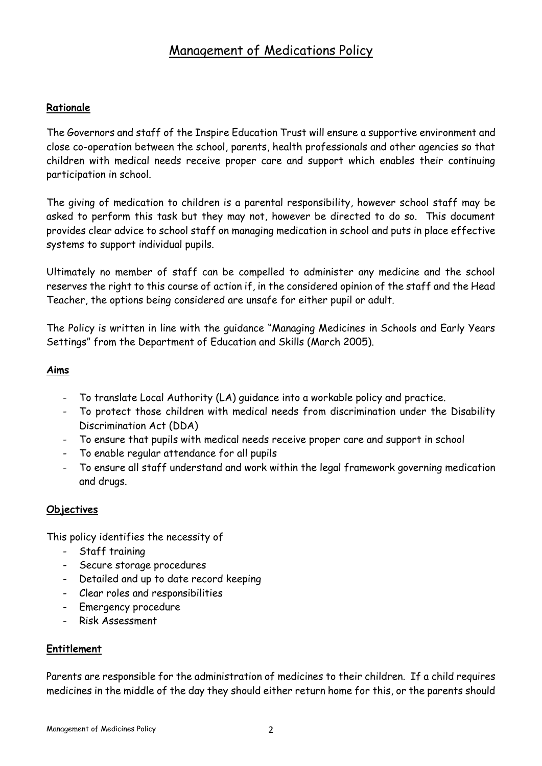## Management of Medications Policy

#### **Rationale**

The Governors and staff of the Inspire Education Trust will ensure a supportive environment and close co-operation between the school, parents, health professionals and other agencies so that children with medical needs receive proper care and support which enables their continuing participation in school.

The giving of medication to children is a parental responsibility, however school staff may be asked to perform this task but they may not, however be directed to do so. This document provides clear advice to school staff on managing medication in school and puts in place effective systems to support individual pupils.

Ultimately no member of staff can be compelled to administer any medicine and the school reserves the right to this course of action if, in the considered opinion of the staff and the Head Teacher, the options being considered are unsafe for either pupil or adult.

The Policy is written in line with the guidance "Managing Medicines in Schools and Early Years Settings" from the Department of Education and Skills (March 2005).

#### **Aims**

- To translate Local Authority (LA) guidance into a workable policy and practice.
- To protect those children with medical needs from discrimination under the Disability Discrimination Act (DDA)
- To ensure that pupils with medical needs receive proper care and support in school
- To enable regular attendance for all pupils
- To ensure all staff understand and work within the legal framework governing medication and drugs.

#### **Objectives**

This policy identifies the necessity of

- Staff training
- Secure storage procedures
- Detailed and up to date record keeping
- Clear roles and responsibilities
- Emergency procedure
- Risk Assessment

#### **Entitlement**

Parents are responsible for the administration of medicines to their children. If a child requires medicines in the middle of the day they should either return home for this, or the parents should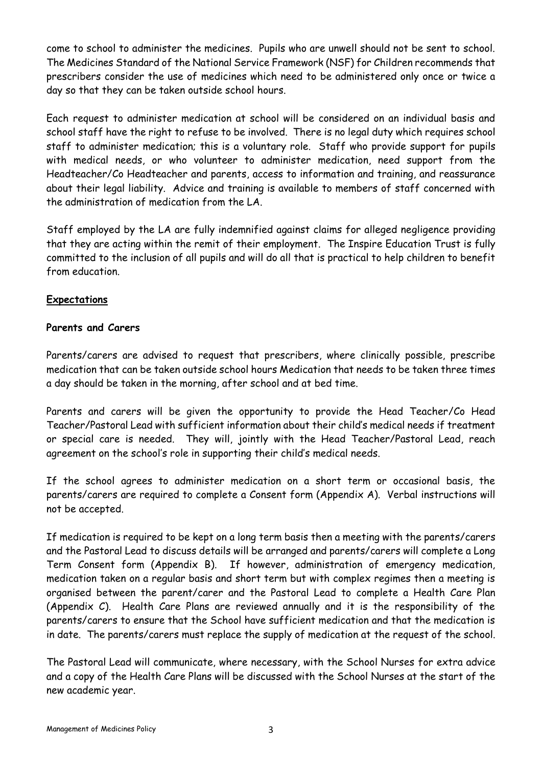come to school to administer the medicines. Pupils who are unwell should not be sent to school. The Medicines Standard of the National Service Framework (NSF) for Children recommends that prescribers consider the use of medicines which need to be administered only once or twice a day so that they can be taken outside school hours.

Each request to administer medication at school will be considered on an individual basis and school staff have the right to refuse to be involved. There is no legal duty which requires school staff to administer medication; this is a voluntary role. Staff who provide support for pupils with medical needs, or who volunteer to administer medication, need support from the Headteacher/Co Headteacher and parents, access to information and training, and reassurance about their legal liability. Advice and training is available to members of staff concerned with the administration of medication from the LA.

Staff employed by the LA are fully indemnified against claims for alleged negligence providing that they are acting within the remit of their employment. The Inspire Education Trust is fully committed to the inclusion of all pupils and will do all that is practical to help children to benefit from education.

#### **Expectations**

#### **Parents and Carers**

Parents/carers are advised to request that prescribers, where clinically possible, prescribe medication that can be taken outside school hours Medication that needs to be taken three times a day should be taken in the morning, after school and at bed time.

Parents and carers will be given the opportunity to provide the Head Teacher/Co Head Teacher/Pastoral Lead with sufficient information about their child's medical needs if treatment or special care is needed. They will, jointly with the Head Teacher/Pastoral Lead, reach agreement on the school's role in supporting their child's medical needs.

If the school agrees to administer medication on a short term or occasional basis, the parents/carers are required to complete a Consent form (Appendix A). Verbal instructions will not be accepted.

If medication is required to be kept on a long term basis then a meeting with the parents/carers and the Pastoral Lead to discuss details will be arranged and parents/carers will complete a Long Term Consent form (Appendix B). If however, administration of emergency medication, medication taken on a regular basis and short term but with complex regimes then a meeting is organised between the parent/carer and the Pastoral Lead to complete a Health Care Plan (Appendix C). Health Care Plans are reviewed annually and it is the responsibility of the parents/carers to ensure that the School have sufficient medication and that the medication is in date. The parents/carers must replace the supply of medication at the request of the school.

The Pastoral Lead will communicate, where necessary, with the School Nurses for extra advice and a copy of the Health Care Plans will be discussed with the School Nurses at the start of the new academic year.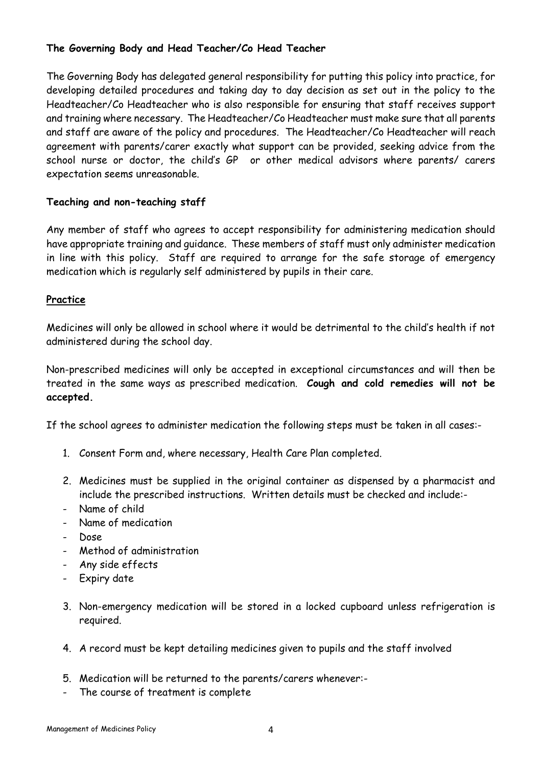#### **The Governing Body and Head Teacher/Co Head Teacher**

The Governing Body has delegated general responsibility for putting this policy into practice, for developing detailed procedures and taking day to day decision as set out in the policy to the Headteacher/Co Headteacher who is also responsible for ensuring that staff receives support and training where necessary. The Headteacher/Co Headteacher must make sure that all parents and staff are aware of the policy and procedures. The Headteacher/Co Headteacher will reach agreement with parents/carer exactly what support can be provided, seeking advice from the school nurse or doctor, the child's GP or other medical advisors where parents/ carers expectation seems unreasonable.

#### **Teaching and non-teaching staff**

Any member of staff who agrees to accept responsibility for administering medication should have appropriate training and guidance. These members of staff must only administer medication in line with this policy. Staff are required to arrange for the safe storage of emergency medication which is regularly self administered by pupils in their care.

#### **Practice**

Medicines will only be allowed in school where it would be detrimental to the child's health if not administered during the school day.

Non-prescribed medicines will only be accepted in exceptional circumstances and will then be treated in the same ways as prescribed medication. **Cough and cold remedies will not be accepted.** 

If the school agrees to administer medication the following steps must be taken in all cases:-

- 1. Consent Form and, where necessary, Health Care Plan completed.
- 2. Medicines must be supplied in the original container as dispensed by a pharmacist and include the prescribed instructions. Written details must be checked and include:-
- Name of child
- Name of medication
- Dose
- Method of administration
- Any side effects
- Expiry date
- 3. Non-emergency medication will be stored in a locked cupboard unless refrigeration is required.
- 4. A record must be kept detailing medicines given to pupils and the staff involved
- 5. Medication will be returned to the parents/carers whenever:-
- The course of treatment is complete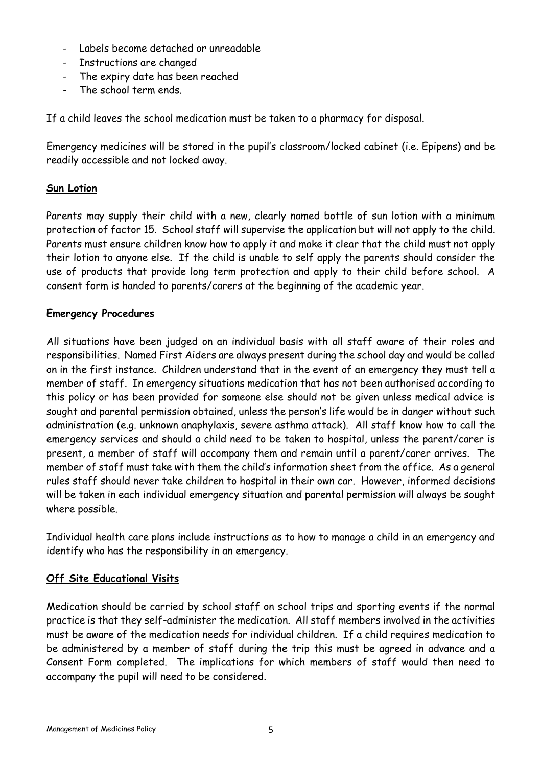- Labels become detached or unreadable
- Instructions are changed
- The expiry date has been reached
- The school term ends.

If a child leaves the school medication must be taken to a pharmacy for disposal.

Emergency medicines will be stored in the pupil's classroom/locked cabinet (i.e. Epipens) and be readily accessible and not locked away.

#### **Sun Lotion**

Parents may supply their child with a new, clearly named bottle of sun lotion with a minimum protection of factor 15. School staff will supervise the application but will not apply to the child. Parents must ensure children know how to apply it and make it clear that the child must not apply their lotion to anyone else. If the child is unable to self apply the parents should consider the use of products that provide long term protection and apply to their child before school. A consent form is handed to parents/carers at the beginning of the academic year.

#### **Emergency Procedures**

All situations have been judged on an individual basis with all staff aware of their roles and responsibilities. Named First Aiders are always present during the school day and would be called on in the first instance. Children understand that in the event of an emergency they must tell a member of staff. In emergency situations medication that has not been authorised according to this policy or has been provided for someone else should not be given unless medical advice is sought and parental permission obtained, unless the person's life would be in danger without such administration (e.g. unknown anaphylaxis, severe asthma attack). All staff know how to call the emergency services and should a child need to be taken to hospital, unless the parent/carer is present, a member of staff will accompany them and remain until a parent/carer arrives. The member of staff must take with them the child's information sheet from the office. As a general rules staff should never take children to hospital in their own car. However, informed decisions will be taken in each individual emergency situation and parental permission will always be sought where possible.

Individual health care plans include instructions as to how to manage a child in an emergency and identify who has the responsibility in an emergency.

#### **Off Site Educational Visits**

Medication should be carried by school staff on school trips and sporting events if the normal practice is that they self-administer the medication. All staff members involved in the activities must be aware of the medication needs for individual children. If a child requires medication to be administered by a member of staff during the trip this must be agreed in advance and a Consent Form completed. The implications for which members of staff would then need to accompany the pupil will need to be considered.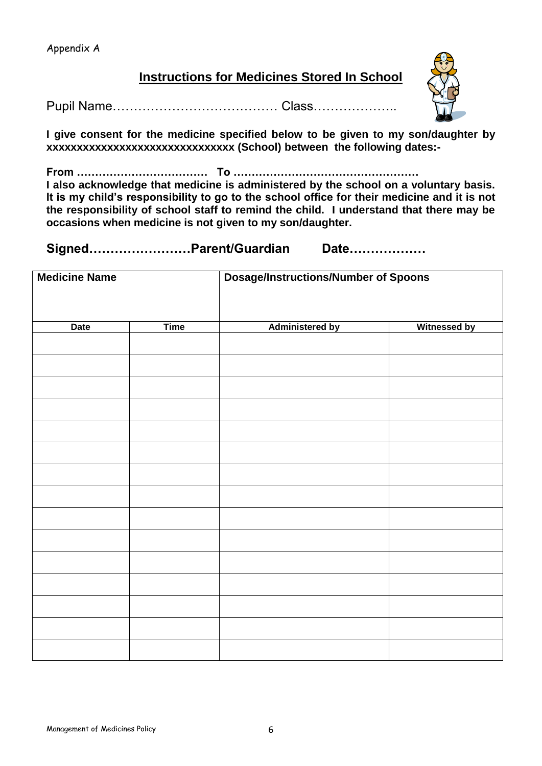### **Instructions for Medicines Stored In School**

Pupil Name………………………………… Class………………..



**I give consent for the medicine specified below to be given to my son/daughter by xxxxxxxxxxxxxxxxxxxxxxxxxxxxxxx (School) between the following dates:-** 

**From ……………………………… To ……………………………………………**

**I also acknowledge that medicine is administered by the school on a voluntary basis. It is my child's responsibility to go to the school office for their medicine and it is not the responsibility of school staff to remind the child. I understand that there may be occasions when medicine is not given to my son/daughter.**

**Signed……………………Parent/Guardian Date………………**

| <b>Medicine Name</b> |             | <b>Dosage/Instructions/Number of Spoons</b> |                     |  |
|----------------------|-------------|---------------------------------------------|---------------------|--|
| <b>Date</b>          | <b>Time</b> | <b>Administered by</b>                      | <b>Witnessed by</b> |  |
|                      |             |                                             |                     |  |
|                      |             |                                             |                     |  |
|                      |             |                                             |                     |  |
|                      |             |                                             |                     |  |
|                      |             |                                             |                     |  |
|                      |             |                                             |                     |  |
|                      |             |                                             |                     |  |
|                      |             |                                             |                     |  |
|                      |             |                                             |                     |  |
|                      |             |                                             |                     |  |
|                      |             |                                             |                     |  |
|                      |             |                                             |                     |  |
|                      |             |                                             |                     |  |
|                      |             |                                             |                     |  |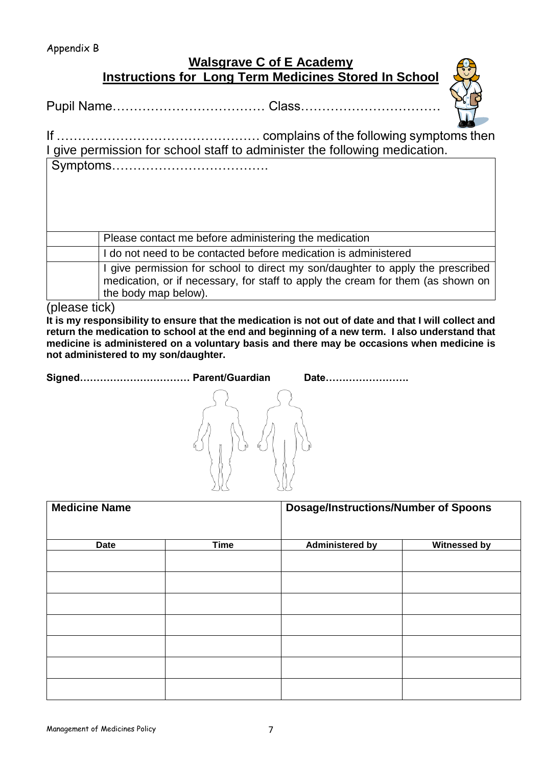## **Walsgrave C of E Academy Instructions for Long Term Medicines Stored In School**

Pupil Name……………………………… Class……………………………



| I give permission for school staff to administer the following medication. |
|----------------------------------------------------------------------------|
|                                                                            |

| Please contact me before administering the medication                                                                                                                                       |
|---------------------------------------------------------------------------------------------------------------------------------------------------------------------------------------------|
| I do not need to be contacted before medication is administered                                                                                                                             |
| I give permission for school to direct my son/daughter to apply the prescribed<br>medication, or if necessary, for staff to apply the cream for them (as shown on  <br>the body map below). |

(please tick)

**It is my responsibility to ensure that the medication is not out of date and that I will collect and return the medication to school at the end and beginning of a new term. I also understand that medicine is administered on a voluntary basis and there may be occasions when medicine is not administered to my son/daughter.**

**Signed…………………………… Parent/Guardian Date…………………….**



| <b>Medicine Name</b> |             | <b>Dosage/Instructions/Number of Spoons</b> |                     |  |
|----------------------|-------------|---------------------------------------------|---------------------|--|
| <b>Date</b>          | <b>Time</b> | <b>Administered by</b>                      | <b>Witnessed by</b> |  |
|                      |             |                                             |                     |  |
|                      |             |                                             |                     |  |
|                      |             |                                             |                     |  |
|                      |             |                                             |                     |  |
|                      |             |                                             |                     |  |
|                      |             |                                             |                     |  |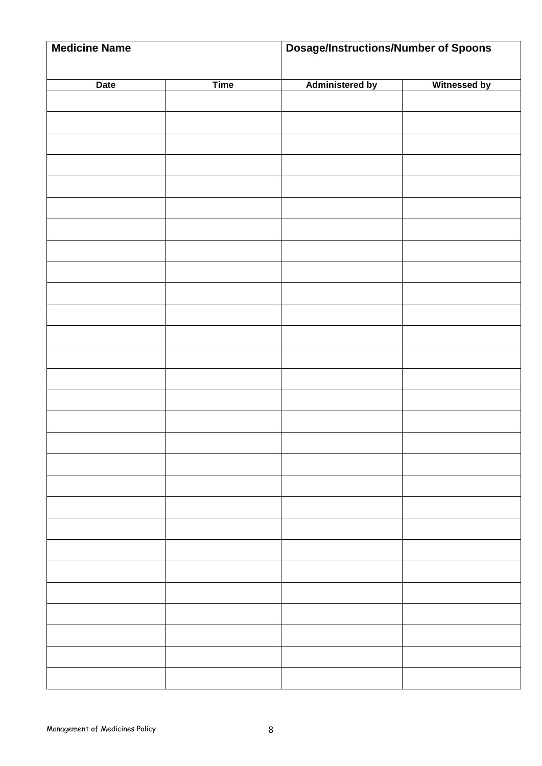| <b>Medicine Name</b> |             | <b>Dosage/Instructions/Number of Spoons</b> |                     |  |
|----------------------|-------------|---------------------------------------------|---------------------|--|
|                      |             |                                             |                     |  |
| <b>Date</b>          | <b>Time</b> | <b>Administered by</b>                      | <b>Witnessed by</b> |  |
|                      |             |                                             |                     |  |
|                      |             |                                             |                     |  |
|                      |             |                                             |                     |  |
|                      |             |                                             |                     |  |
|                      |             |                                             |                     |  |
|                      |             |                                             |                     |  |
|                      |             |                                             |                     |  |
|                      |             |                                             |                     |  |
|                      |             |                                             |                     |  |
|                      |             |                                             |                     |  |
|                      |             |                                             |                     |  |
|                      |             |                                             |                     |  |
|                      |             |                                             |                     |  |
|                      |             |                                             |                     |  |
|                      |             |                                             |                     |  |
|                      |             |                                             |                     |  |
|                      |             |                                             |                     |  |
|                      |             |                                             |                     |  |
|                      |             |                                             |                     |  |
|                      |             |                                             |                     |  |
|                      |             |                                             |                     |  |
|                      |             |                                             |                     |  |
|                      |             |                                             |                     |  |
|                      |             |                                             |                     |  |
|                      |             |                                             |                     |  |
|                      |             |                                             |                     |  |
|                      |             |                                             |                     |  |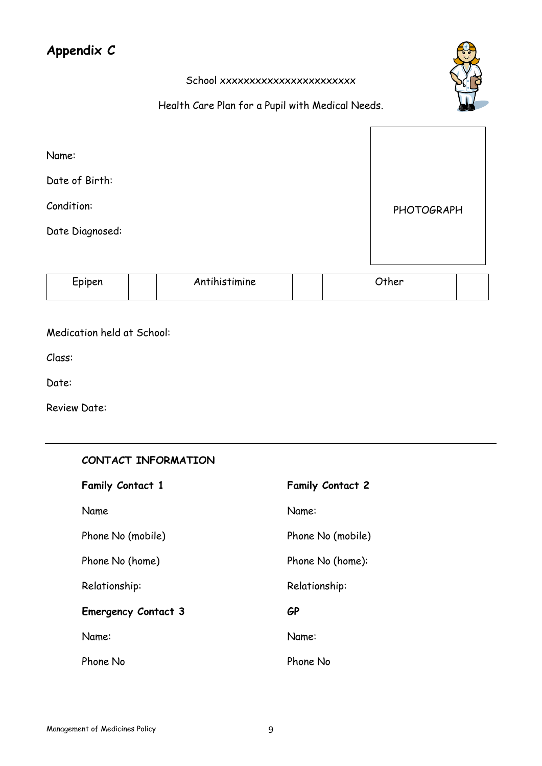## **Appendix C**

#### School xxxxxxxxxxxxxxxxxxxx

#### Health Care Plan for a Pupil with Medical Needs.

| Name:           |            |
|-----------------|------------|
| Date of Birth:  |            |
| Condition:      | PHOTOGRAPH |
| Date Diagnosed: |            |
|                 |            |

| $\mathop{\mathsf{Spinen}}$ | Antihistimine | rher |  |
|----------------------------|---------------|------|--|
|                            |               |      |  |

#### Medication held at School:

Class:

Date:

Review Date:

| CONTACT INFORMATION        |                         |
|----------------------------|-------------------------|
| <b>Family Contact 1</b>    | <b>Family Contact 2</b> |
| Name                       | Name:                   |
| Phone No (mobile)          | Phone No (mobile)       |
| Phone No (home)            | Phone No (home):        |
| Relationship:              | Relationship:           |
| <b>Emergency Contact 3</b> | <b>GP</b>               |
| Name:                      | Name:                   |
| Phone No                   | Phone No                |